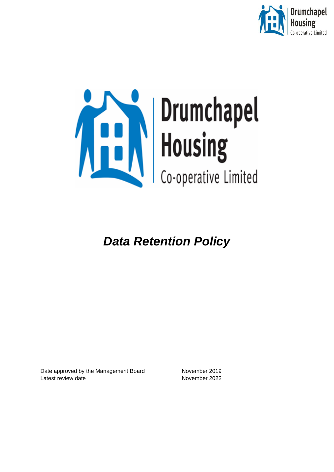



*Data Retention Policy*

Date approved by the Management Board November 2019 Latest review date November 2022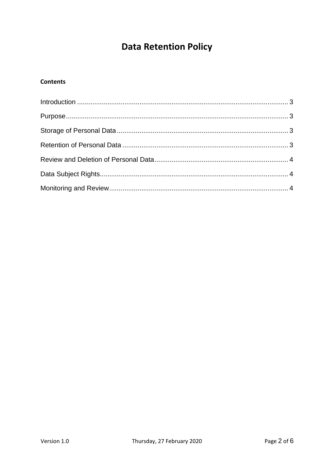# **Data Retention Policy**

## **Contents**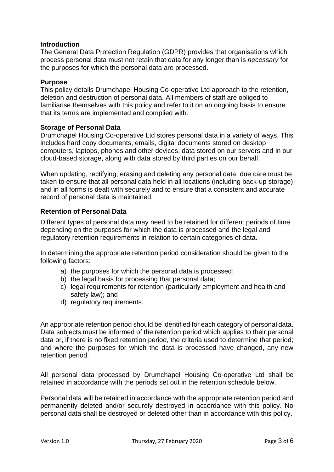#### <span id="page-2-0"></span>**Introduction**

The General Data Protection Regulation (GDPR) provides that organisations which process personal data must not retain that data for any longer than is *necessary* for the purposes for which the personal data are processed.

#### <span id="page-2-1"></span>**Purpose**

This policy details Drumchapel Housing Co-operative Ltd approach to the retention, deletion and destruction of personal data. All members of staff are obliged to familiarise themselves with this policy and refer to it on an ongoing basis to ensure that its terms are implemented and complied with.

#### <span id="page-2-2"></span>**Storage of Personal Data**

Drumchapel Housing Co-operative Ltd stores personal data in a variety of ways. This includes hard copy documents, emails, digital documents stored on desktop computers, laptops, phones and other devices, data stored on our servers and in our cloud-based storage, along with data stored by third parties on our behalf.

When updating, rectifying, erasing and deleting any personal data, due care must be taken to ensure that all personal data held in all locations (including back-up storage) and in all forms is dealt with securely and to ensure that a consistent and accurate record of personal data is maintained.

## <span id="page-2-3"></span>**Retention of Personal Data**

Different types of personal data may need to be retained for different periods of time depending on the purposes for which the data is processed and the legal and regulatory retention requirements in relation to certain categories of data.

In determining the appropriate retention period consideration should be given to the following factors:

- a) the purposes for which the personal data is processed;
- b) the legal basis for processing that personal data;
- c) legal requirements for retention (particularly employment and health and safety law); and
- d) regulatory requirements.

An appropriate retention period should be identified for each category of personal data. Data subjects must be informed of the retention period which applies to their personal data or, if there is no fixed retention period, the criteria used to determine that period; and where the purposes for which the data is processed have changed, any new retention period.

All personal data processed by Drumchapel Housing Co-operative Ltd shall be retained in accordance with the periods set out in the retention schedule below.

Personal data will be retained in accordance with the appropriate retention period and permanently deleted and/or securely destroyed in accordance with this policy. No personal data shall be destroyed or deleted other than in accordance with this policy.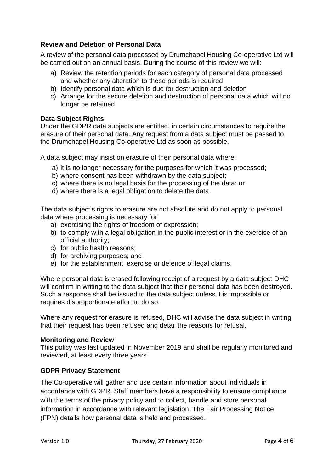## <span id="page-3-0"></span>**Review and Deletion of Personal Data**

A review of the personal data processed by Drumchapel Housing Co-operative Ltd will be carried out on an annual basis. During the course of this review we will:

- a) Review the retention periods for each category of personal data processed and whether any alteration to these periods is required
- b) Identify personal data which is due for destruction and deletion
- c) Arrange for the secure deletion and destruction of personal data which will no longer be retained

## <span id="page-3-1"></span>**Data Subject Rights**

Under the GDPR data subjects are entitled, in certain circumstances to require the erasure of their personal data. Any request from a data subject must be passed to the Drumchapel Housing Co-operative Ltd as soon as possible.

A data subject may insist on erasure of their personal data where:

- a) it is no longer necessary for the purposes for which it was processed;
- b) where consent has been withdrawn by the data subject;
- c) where there is no legal basis for the processing of the data; or
- d) where there is a legal obligation to delete the data.

The data subject's rights to erasure are not absolute and do not apply to personal data where processing is necessary for:

- a) exercising the rights of freedom of expression:
- b) to comply with a legal obligation in the public interest or in the exercise of an official authority;
- c) for public health reasons;
- d) for archiving purposes; and
- e) for the establishment, exercise or defence of legal claims.

Where personal data is erased following receipt of a request by a data subject DHC will confirm in writing to the data subject that their personal data has been destroyed. Such a response shall be issued to the data subject unless it is impossible or requires disproportionate effort to do so.

Where any request for erasure is refused, DHC will advise the data subject in writing that their request has been refused and detail the reasons for refusal.

#### <span id="page-3-2"></span>**Monitoring and Review**

This policy was last updated in November 2019 and shall be regularly monitored and reviewed, at least every three years.

## **GDPR Privacy Statement**

The Co-operative will gather and use certain information about individuals in accordance with GDPR. Staff members have a responsibility to ensure compliance with the terms of the privacy policy and to collect, handle and store personal information in accordance with relevant legislation. The Fair Processing Notice (FPN) details how personal data is held and processed.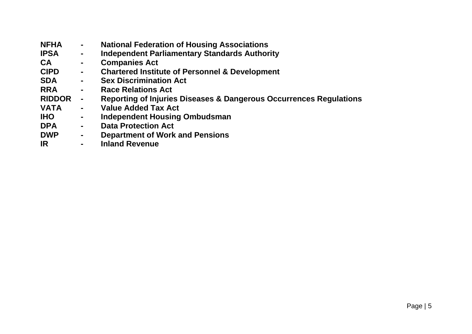| <b>NFHA</b>   | $\blacksquare$ | <b>National Federation of Housing Associations</b>                            |
|---------------|----------------|-------------------------------------------------------------------------------|
| <b>IPSA</b>   | $\blacksquare$ | <b>Independent Parliamentary Standards Authority</b>                          |
| <b>CA</b>     | $\blacksquare$ | <b>Companies Act</b>                                                          |
| <b>CIPD</b>   | $\blacksquare$ | <b>Chartered Institute of Personnel &amp; Development</b>                     |
| <b>SDA</b>    | $\blacksquare$ | <b>Sex Discrimination Act</b>                                                 |
| <b>RRA</b>    | $\blacksquare$ | <b>Race Relations Act</b>                                                     |
| <b>RIDDOR</b> | $\blacksquare$ | <b>Reporting of Injuries Diseases &amp; Dangerous Occurrences Regulations</b> |
| <b>VATA</b>   | $\blacksquare$ | <b>Value Added Tax Act</b>                                                    |
| <b>IHO</b>    | $\blacksquare$ | <b>Independent Housing Ombudsman</b>                                          |
| <b>DPA</b>    | $\blacksquare$ | <b>Data Protection Act</b>                                                    |
| <b>DWP</b>    | $\blacksquare$ | <b>Department of Work and Pensions</b>                                        |
| <b>IR</b>     | $\sim$         | <b>Inland Revenue</b>                                                         |